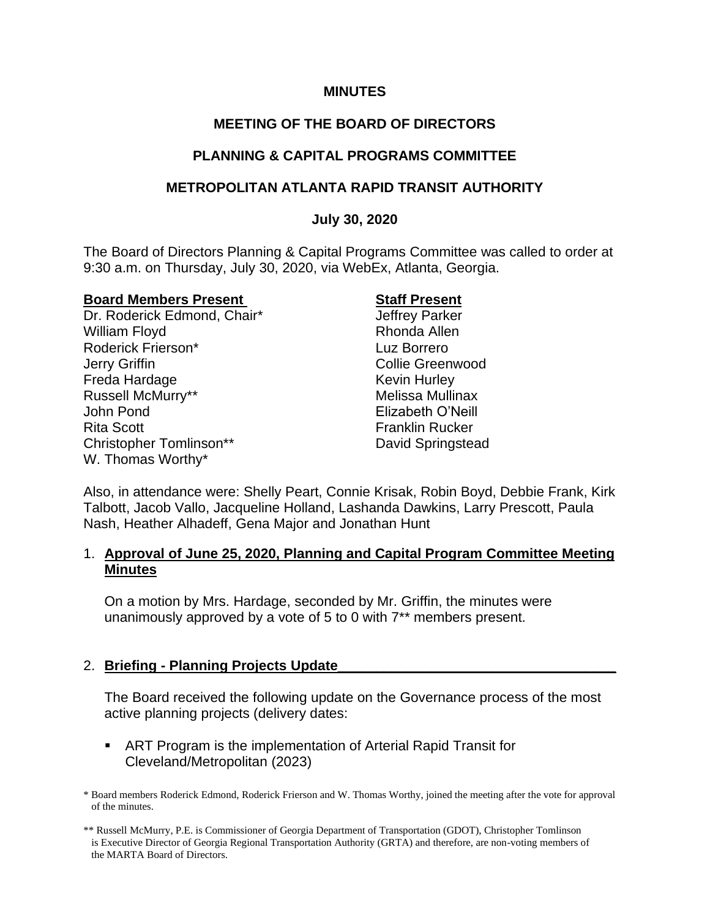#### **MINUTES**

# **MEETING OF THE BOARD OF DIRECTORS**

### **PLANNING & CAPITAL PROGRAMS COMMITTEE**

## **METROPOLITAN ATLANTA RAPID TRANSIT AUTHORITY**

### **July 30, 2020**

The Board of Directors Planning & Capital Programs Committee was called to order at 9:30 a.m. on Thursday, July 30, 2020, via WebEx, Atlanta, Georgia.

#### **Board Members Present**  Staff Present

Dr. Roderick Edmond, Chair\* Jeffrey Parker William Floyd **Rhonda Allen** Roderick Frierson\* Luz Borrero Jerry Griffin **Collie Greenwood** Freda Hardage **Keyin Hurley** Russell McMurry\*\* The Controller Melissa Mullinax John Pond Elizabeth O'Neill Rita Scott **Franklin Rucker** Christopher Tomlinson\*\* David Springstead W. Thomas Worthy\*

Also, in attendance were: Shelly Peart, Connie Krisak, Robin Boyd, Debbie Frank, Kirk Talbott, Jacob Vallo, Jacqueline Holland, Lashanda Dawkins, Larry Prescott, Paula Nash, Heather Alhadeff, Gena Major and Jonathan Hunt

### 1. **Approval of June 25, 2020, Planning and Capital Program Committee Meeting Minutes**

On a motion by Mrs. Hardage, seconded by Mr. Griffin, the minutes were unanimously approved by a vote of 5 to 0 with 7\*\* members present.

### 2. **Briefing - Planning Projects Update\_\_\_\_\_\_\_\_\_\_\_\_\_\_\_\_\_\_\_\_\_\_\_\_\_\_\_\_\_\_\_\_\_\_\_\_**

The Board received the following update on the Governance process of the most active planning projects (delivery dates:

■ ART Program is the implementation of Arterial Rapid Transit for Cleveland/Metropolitan (2023)

\* Board members Roderick Edmond, Roderick Frierson and W. Thomas Worthy, joined the meeting after the vote for approval of the minutes.

\*\* Russell McMurry, P.E. is Commissioner of Georgia Department of Transportation (GDOT), Christopher Tomlinson is Executive Director of Georgia Regional Transportation Authority (GRTA) and therefore, are non-voting members of the MARTA Board of Directors.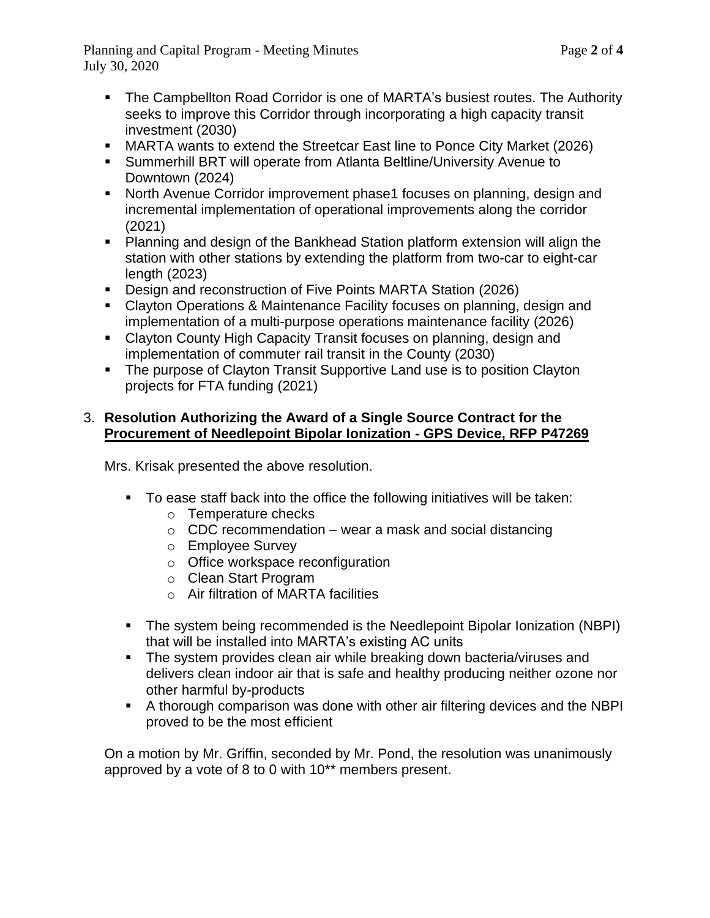Planning and Capital Program - Meeting Minutes Page **2** of **4** July 30, 2020

- 
- The Campbellton Road Corridor is one of MARTA's busiest routes. The Authority seeks to improve this Corridor through incorporating a high capacity transit investment (2030)
- MARTA wants to extend the Streetcar East line to Ponce City Market (2026)
- Summerhill BRT will operate from Atlanta Beltline/University Avenue to Downtown (2024)
- North Avenue Corridor improvement phase1 focuses on planning, design and incremental implementation of operational improvements along the corridor (2021)
- Planning and design of the Bankhead Station platform extension will align the station with other stations by extending the platform from two-car to eight-car length (2023)
- Design and reconstruction of Five Points MARTA Station (2026)
- Clayton Operations & Maintenance Facility focuses on planning, design and implementation of a multi-purpose operations maintenance facility (2026)
- Clayton County High Capacity Transit focuses on planning, design and implementation of commuter rail transit in the County (2030)
- The purpose of Clayton Transit Supportive Land use is to position Clayton projects for FTA funding (2021)

# 3. **Resolution Authorizing the Award of a Single Source Contract for the Procurement of Needlepoint Bipolar Ionization - GPS Device, RFP P47269**

Mrs. Krisak presented the above resolution.

- To ease staff back into the office the following initiatives will be taken:
	- o Temperature checks
	- $\circ$  CDC recommendation wear a mask and social distancing
	- o Employee Survey
	- o Office workspace reconfiguration
	- o Clean Start Program
	- o Air filtration of MARTA facilities
- The system being recommended is the Needlepoint Bipolar Ionization (NBPI) that will be installed into MARTA's existing AC units
- The system provides clean air while breaking down bacteria/viruses and delivers clean indoor air that is safe and healthy producing neither ozone nor other harmful by-products
- A thorough comparison was done with other air filtering devices and the NBPI proved to be the most efficient

On a motion by Mr. Griffin, seconded by Mr. Pond, the resolution was unanimously approved by a vote of 8 to 0 with 10\*\* members present.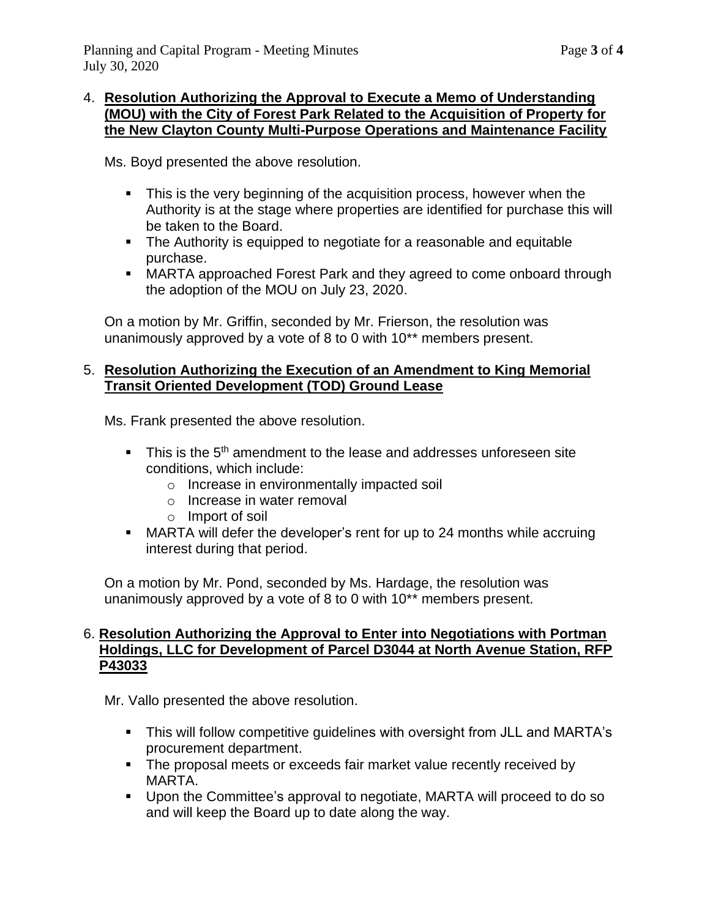## 4. **Resolution Authorizing the Approval to Execute a Memo of Understanding (MOU) with the City of Forest Park Related to the Acquisition of Property for the New Clayton County Multi-Purpose Operations and Maintenance Facility**

Ms. Boyd presented the above resolution.

- **EXTE:** This is the very beginning of the acquisition process, however when the Authority is at the stage where properties are identified for purchase this will be taken to the Board.
- The Authority is equipped to negotiate for a reasonable and equitable purchase.
- MARTA approached Forest Park and they agreed to come onboard through the adoption of the MOU on July 23, 2020.

On a motion by Mr. Griffin, seconded by Mr. Frierson, the resolution was unanimously approved by a vote of 8 to 0 with 10\*\* members present.

## 5. **Resolution Authorizing the Execution of an Amendment to King Memorial Transit Oriented Development (TOD) Ground Lease**

Ms. Frank presented the above resolution.

- This is the 5<sup>th</sup> amendment to the lease and addresses unforeseen site conditions, which include:
	- o Increase in environmentally impacted soil
	- o Increase in water removal
	- o Import of soil
- MARTA will defer the developer's rent for up to 24 months while accruing interest during that period.

On a motion by Mr. Pond, seconded by Ms. Hardage, the resolution was unanimously approved by a vote of 8 to 0 with 10\*\* members present.

#### 6. **Resolution Authorizing the Approval to Enter into Negotiations with Portman Holdings, LLC for Development of Parcel D3044 at North Avenue Station, RFP P43033**

Mr. Vallo presented the above resolution.

- This will follow competitive guidelines with oversight from JLL and MARTA's procurement department.
- The proposal meets or exceeds fair market value recently received by MARTA.
- Upon the Committee's approval to negotiate, MARTA will proceed to do so and will keep the Board up to date along the way.